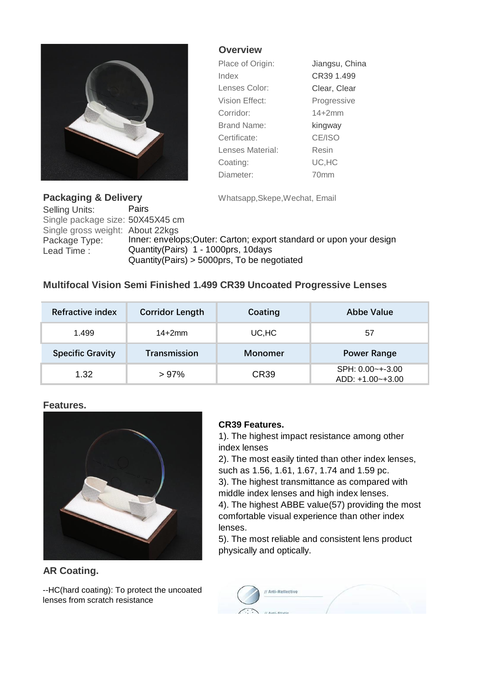

**Overview**

| Place of Origin:   | Jiangsu, China |
|--------------------|----------------|
| Index              | CR39 1.499     |
| Lenses Color:      | Clear, Clear   |
| Vision Effect:     | Progressive    |
| Corridor:          | $14 + 2mm$     |
| <b>Brand Name:</b> | kingway        |
| Certificate:       | CE/ISO         |
| Lenses Material:   | Resin          |
| Coating:           | UC, HC         |
| Diameter:          | 70mm           |

**Packaging & Delivery** Whatsapp, Skepe, Wechat, Email Selling Units: Pairs Single package size: 50X45X45 cm Single gross weight: About 22kgs Package Type: Inner: envelops; Outer: Carton; export standard or upon your design Lead Time : Quantity(Pairs) 1 - 1000prs, 10days Quantity(Pairs) > 5000prs, To be negotiated

# **Multifocal Vision Semi Finished 1.499 CR39 Uncoated Progressive Lenses**

| Refractive index        | <b>Corridor Length</b> | Coating        | Abbe Value         |
|-------------------------|------------------------|----------------|--------------------|
| 1.499                   | $14+2mm$               | UC,HC          | 57                 |
| <b>Specific Gravity</b> | <b>Transmission</b>    | <b>Monomer</b> | <b>Power Range</b> |
| 1.32                    | >97%                   | <b>CR39</b>    | SPH: 0.00~+-3.00   |

#### **Features.**



## **AR Coating.**

--HC(hard coating): To protect the uncoated lenses from scratch resistance

## **CR39 Features.**

1). The highest impact resistance among other index lenses

2). The most easily tinted than other index lenses, such as 1.56, 1.61, 1.67, 1.74 and 1.59 pc. 3). The highest transmittance as compared with middle index lenses and high index lenses.

4). The highest ABBE value(57) providing the most comfortable visual experience than other index lenses.

5). The most reliable and consistent lens product physically and optically.

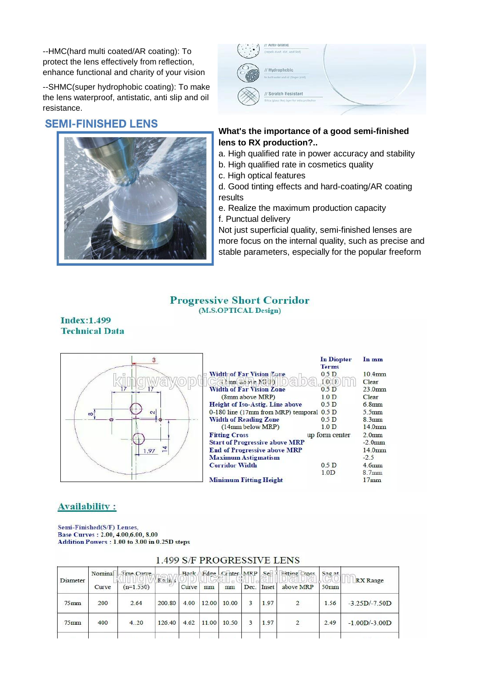--HMC(hard multi coated/AR coating): To protect the lens effectively from reflection, enhance functional and charity of your vision

--SHMC(super hydrophobic coating): To make the lens waterproof, antistatic, anti slip and oil resistance.

## **SEMI-FINISHED LENS**





### **What's the importance of a good semi-finished lens to RX production?..**

- a. High qualified rate in power accuracy and stability
- b. High qualified rate in cosmetics quality
- c. High optical features
- d. Good tinting effects and hard-coating/AR coating results
- e. Realize the maximum production capacity
- f. Punctual delivery

Not just superficial quality, semi-finished lenses are more focus on the internal quality, such as precise and stable parameters, especially for the popular freeform

#### **Progressive Short Corridor** (M.S.OPTICAL Design)

#### **Index:1.499 Technical Data**

|                                  |                                           | In Diopter<br><b>Terms</b> | In mm                |
|----------------------------------|-------------------------------------------|----------------------------|----------------------|
|                                  | <b>Width of Far Vision Zune</b>           | 0.5 <sub>D</sub>           | 10.4 <sub>mm</sub>   |
|                                  | $(32)$ mm above $NG(P)$                   | 100                        | Clear                |
|                                  | <b>Width of Far Vision Zone</b>           | 0.5 <sub>D</sub>           | $23.0$ <sub>mm</sub> |
|                                  | (8mm above MRP)                           | 1.0 <sub>D</sub>           | Clear                |
|                                  | Height of Iso-Astig. Line above           | 0.5 <sub>D</sub>           | 6.8mm                |
| $\mathbf{\tilde{c}}$<br>$\infty$ | 0-180 line (17mm from MRP) temporal 0.5 D |                            | $5.5$ mm             |
|                                  | <b>Width of Reading Zone</b>              | 0.5 <sub>D</sub>           | 8.3mm                |
|                                  | $(14mm$ below MRP)                        | 1.0 <sub>D</sub>           | 14.0 <sub>mm</sub>   |
|                                  | <b>Fitting Cross</b>                      | up form center             | $2.0$ <sub>mm</sub>  |
|                                  | <b>Start of Progressive above MRP</b>     |                            | $-2.0$ mm            |
| .97                              | <b>End of Progressive above MRP</b>       |                            | 14.0 <sub>mm</sub>   |
|                                  | <b>Maximum Astigmatism</b>                |                            | $-2.5$               |
|                                  | <b>Corridor Width</b>                     | 0.5 <sub>D</sub>           | 4.6mm                |
|                                  |                                           | 1.0 <sub>D</sub>           | 8.7 <sub>mm</sub>    |
|                                  | <b>Minimum Fitting Height</b>             |                            | 17mm                 |

## **Availability:**

Semi-Finished(S/F) Lenses, Base Curves : 2.00, 4.00, 6.00, 8.00 Addition Powers: 1.00 to 3.00 in 0.25D steps

|                   |             | Nominal True Curve |        |      |       | Back Edge Center MRP |       | $S_{e}$   | <b>Eitting Cross</b>    | S <sub>25</sub> |                 |
|-------------------|-------------|--------------------|--------|------|-------|----------------------|-------|-----------|-------------------------|-----------------|-----------------|
| Diameter<br>Curve | $(n=1.550)$ | $F = \ln s$        | Curve  | mm   | mm    | Dec.                 | Inset | above MRP | 50 <sub>mm</sub>        | <b>RX</b> Range |                 |
| $75$ mm           | 200         | 2.64               | 200.80 | 4.00 |       | 12.00 10.00          | 3     | 1.97      | $\overline{\mathbf{c}}$ | 1.56            | $-3.25D/-7.50D$ |
| $75$ mm           | 400         | 4.20               | 126.40 | 4.62 | 11.00 | 10.50                | 3     | 1.97      | $\sqrt{2}$              | 2.49            | $-1.00D/-3.00D$ |

### 1 499 S/F PROGRESSIVE LENS